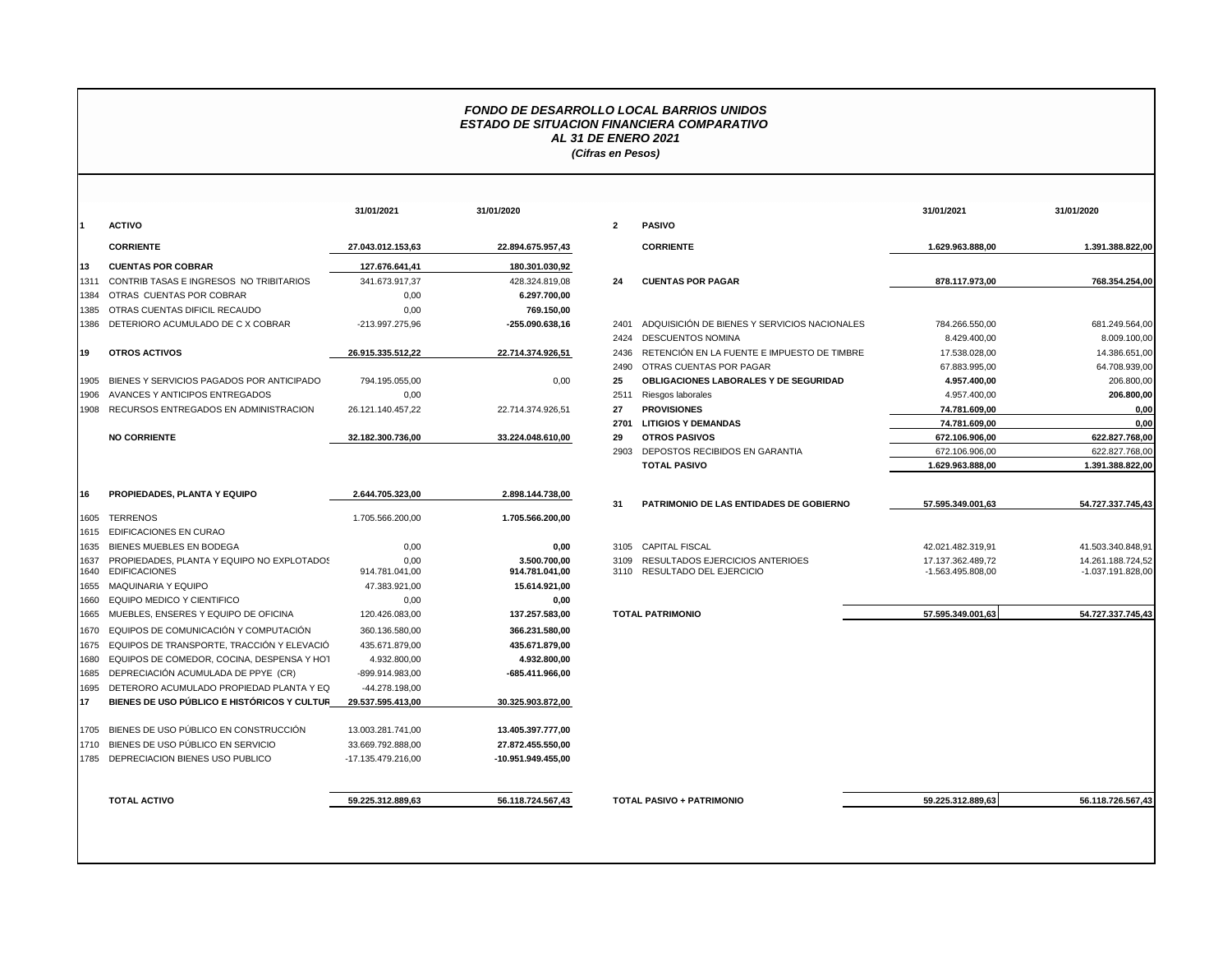## *FONDO DE DESARROLLO LOCAL BARRIOS UNIDOS ESTADO DE SITUACION FINANCIERA COMPARATIVO AL 31 DE ENERO 2021 (Cifras en Pesos)*

|             |                                             | 31/01/2021         | 31/01/2020         |                |                                              | 31/01/2021        | 31/01/2020          |
|-------------|---------------------------------------------|--------------------|--------------------|----------------|----------------------------------------------|-------------------|---------------------|
|             | <b>ACTIVO</b>                               |                    |                    | $\overline{2}$ | <b>PASIVO</b>                                |                   |                     |
|             | <b>CORRIENTE</b>                            | 27.043.012.153,63  | 22.894.675.957,43  |                | <b>CORRIENTE</b>                             | 1.629.963.888,00  | 1.391.388.822,00    |
| I13         | <b>CUENTAS POR COBRAR</b>                   | 127.676.641.41     | 180.301.030,92     |                |                                              |                   |                     |
| 1311        | CONTRIB TASAS E INGRESOS NO TRIBITARIOS     | 341.673.917,37     | 428.324.819,08     | 24             | <b>CUENTAS POR PAGAR</b>                     | 878.117.973,00    | 768.354.254,00      |
| 1384        | OTRAS CUENTAS POR COBRAR                    | 0,00               | 6.297.700,00       |                |                                              |                   |                     |
| 1385        | OTRAS CUENTAS DIFICIL RECAUDO               | 0,00               | 769.150,00         |                |                                              |                   |                     |
| 1386        | DETERIORO ACUMULADO DE C X COBRAR           | -213.997.275,96    | -255.090.638,16    | 2401           | ADQUISICIÓN DE BIENES Y SERVICIOS NACIONALES | 784.266.550,00    | 681.249.564,00      |
|             |                                             |                    |                    | 2424           | <b>DESCUENTOS NOMINA</b>                     | 8.429.400,00      | 8.009.100,00        |
| <b>119</b>  | <b>OTROS ACTIVOS</b>                        | 26.915.335.512,22  | 22.714.374.926,51  | 2436           | RETENCIÓN EN LA FUENTE E IMPUESTO DE TIMBRE  | 17.538.028,00     | 14.386.651,00       |
|             |                                             |                    |                    | 2490           | OTRAS CUENTAS POR PAGAR                      | 67.883.995,00     | 64.708.939,00       |
| 1905        | BIENES Y SERVICIOS PAGADOS POR ANTICIPADO   | 794.195.055,00     | 0,00               | 25             | OBLIGACIONES LABORALES Y DE SEGURIDAD        | 4.957.400,00      | 206.800,00          |
| 1906        | AVANCES Y ANTICIPOS ENTREGADOS              | 0,00               |                    | 2511           | Riesgos laborales                            | 4.957.400,00      | 206.800,00          |
| 1908        | RECURSOS ENTREGADOS EN ADMINISTRACION       | 26.121.140.457,22  | 22.714.374.926,51  | 27             | <b>PROVISIONES</b>                           | 74.781.609,00     | 0.00                |
|             |                                             |                    |                    | 2701           | <b>LITIGIOS Y DEMANDAS</b>                   | 74.781.609,00     | 0,00                |
|             | <b>NO CORRIENTE</b>                         | 32.182.300.736,00  | 33.224.048.610,00  | 29             | <b>OTROS PASIVOS</b>                         | 672.106.906,00    | 622.827.768,00      |
|             |                                             |                    |                    | 2903           | DEPOSTOS RECIBIDOS EN GARANTIA               | 672.106.906,00    | 622.827.768,00      |
|             |                                             |                    |                    |                | <b>TOTAL PASIVO</b>                          | 1.629.963.888,00  | 1.391.388.822,00    |
| 16          | PROPIEDADES, PLANTA Y EQUIPO                | 2.644.705.323,00   | 2.898.144.738,00   | 31             | PATRIMONIO DE LAS ENTIDADES DE GOBIERNO      | 57.595.349.001.63 | 54.727.337.745.43   |
| 1605        | <b>TERRENOS</b>                             | 1.705.566.200,00   | 1.705.566.200,00   |                |                                              |                   |                     |
| 1615        | EDIFICACIONES EN CURAO                      |                    |                    |                |                                              |                   |                     |
| 1635        | BIENES MUEBLES EN BODEGA                    | 0,00               | 0,00               |                | 3105 CAPITAL FISCAL                          | 42.021.482.319,91 | 41.503.340.848,91   |
| 1637        | PROPIEDADES. PLANTA Y EQUIPO NO EXPLOTADOS  | 0.00               | 3.500.700.00       | 3109           | RESULTADOS EJERCICIOS ANTERIOES              | 17.137.362.489.72 | 14.261.188.724.52   |
| 1640        | <b>EDIFICACIONES</b>                        | 914.781.041,00     | 914.781.041,00     |                | 3110 RESULTADO DEL EJERCICIO                 | -1.563.495.808.00 | $-1.037.191.828.00$ |
| 1655        | <b>MAQUINARIA Y EQUIPO</b>                  | 47.383.921,00      | 15.614.921,00      |                |                                              |                   |                     |
| 1660        | EQUIPO MEDICO Y CIENTIFICO                  | 0,00               | 0,00               |                |                                              |                   |                     |
| 1665        | MUEBLES, ENSERES Y EQUIPO DE OFICINA        | 120.426.083,00     | 137.257.583,00     |                | <b>TOTAL PATRIMONIO</b>                      | 57.595.349.001,63 | 54.727.337.745,43   |
| 1670        | EQUIPOS DE COMUNICACIÓN Y COMPUTACIÓN       | 360.136.580.00     | 366.231.580,00     |                |                                              |                   |                     |
| 1675        | EQUIPOS DE TRANSPORTE, TRACCIÓN Y ELEVACIÓ  | 435.671.879,00     | 435.671.879,00     |                |                                              |                   |                     |
| 1680        | EQUIPOS DE COMEDOR, COCINA, DESPENSA Y HOT  | 4.932.800,00       | 4.932.800,00       |                |                                              |                   |                     |
| 1685        | DEPRECIACIÓN ACUMULADA DE PPYE (CR)         | -899.914.983,00    | -685.411.966,00    |                |                                              |                   |                     |
| 1695        | DETERORO ACUMULADO PROPIEDAD PLANTA Y EQ    | -44.278.198,00     |                    |                |                                              |                   |                     |
| <b>1</b> 17 | BIENES DE USO PÚBLICO E HISTÓRICOS Y CULTUR | 29.537.595.413.00  | 30.325.903.872,00  |                |                                              |                   |                     |
| 1705        | BIENES DE USO PÚBLICO EN CONSTRUCCIÓN       | 13.003.281.741.00  | 13.405.397.777,00  |                |                                              |                   |                     |
| 1710        | BIENES DE USO PÚBLICO EN SERVICIO           | 33.669.792.888,00  | 27.872.455.550,00  |                |                                              |                   |                     |
| 1785        | DEPRECIACION BIENES USO PUBLICO             | -17.135.479.216,00 | -10.951.949.455,00 |                |                                              |                   |                     |
|             |                                             |                    |                    |                |                                              |                   |                     |
|             | <b>TOTAL ACTIVO</b>                         | 59.225.312.889,63  | 56.118.724.567,43  |                | <b>TOTAL PASIVO + PATRIMONIO</b>             | 59.225.312.889,63 | 56.118.726.567,43   |

|                                                                    | 31/01/2021             | 31/01/2020                     |              |                                                                      | 31/01/2021                             | 31/01/2020                               |
|--------------------------------------------------------------------|------------------------|--------------------------------|--------------|----------------------------------------------------------------------|----------------------------------------|------------------------------------------|
| ACTIVO                                                             |                        |                                | $\mathbf{2}$ | <b>PASIVO</b>                                                        |                                        |                                          |
| <b>CORRIENTE</b>                                                   | 27.043.012.153.63      | 22.894.675.957,43              |              | <b>CORRIENTE</b>                                                     | 1.629.963.888.00                       | 1.391.388.822.00                         |
| <b>CUENTAS POR COBRAR</b>                                          | 127.676.641.41         | 180.301.030,92                 |              |                                                                      |                                        |                                          |
| CONTRIB TASAS E INGRESOS NO TRIBITARIOS                            | 341.673.917.37         | 428.324.819,08                 | 24           | <b>CUENTAS POR PAGAR</b>                                             | 878.117.973.00                         | 768.354.254.00                           |
| OTRAS CUENTAS POR COBRAR                                           | 0,00                   | 6.297.700,00                   |              |                                                                      |                                        |                                          |
| OTRAS CUENTAS DIFICIL RECAUDO                                      | 0,00                   | 769.150,00                     |              |                                                                      |                                        |                                          |
| DETERIORO ACUMULADO DE C X COBRAR                                  | -213.997.275.96        | -255.090.638.16                | 2401         | ADQUISICIÓN DE BIENES Y SERVICIOS NACIONALES                         | 784.266.550,00                         | 681.249.564,00                           |
|                                                                    |                        |                                | 2424         | <b>DESCUENTOS NOMINA</b>                                             | 8.429.400,00                           | 8.009.100,00                             |
| <b>OTROS ACTIVOS</b>                                               | 26.915.335.512,22      | 22.714.374.926.51              | 2436         | RETENCIÓN EN LA FUENTE E IMPUESTO DE TIMBRE                          | 17.538.028,00                          | 14.386.651,00                            |
|                                                                    |                        |                                | 2490         | OTRAS CUENTAS POR PAGAR                                              | 67.883.995,00                          | 64.708.939,00                            |
| BIENES Y SERVICIOS PAGADOS POR ANTICIPADO                          | 794.195.055,00         | 0,00                           | 25           | <b>OBLIGACIONES LABORALES Y DE SEGURIDAD</b>                         | 4.957.400,00                           | 206.800,00                               |
| AVANCES Y ANTICIPOS ENTREGADOS                                     | 0,00                   |                                | 2511         | Riesgos laborales                                                    | 4.957.400,00                           | 206.800,00                               |
| RECURSOS ENTREGADOS EN ADMINISTRACION                              | 26.121.140.457,22      | 22.714.374.926,51              | 27           | <b>PROVISIONES</b>                                                   | 74.781.609,00                          | 0,00                                     |
|                                                                    |                        |                                | 2701         | <b>LITIGIOS Y DEMANDAS</b>                                           | 74.781.609.00                          | 0.00                                     |
| <b>NO CORRIENTE</b>                                                | 32.182.300.736.00      | 33.224.048.610,00              | 29           | <b>OTROS PASIVOS</b>                                                 | 672.106.906.00                         | 622.827.768,00                           |
|                                                                    |                        |                                | 2903         | DEPOSTOS RECIBIDOS EN GARANTIA                                       | 672.106.906,00                         | 622.827.768,00                           |
|                                                                    |                        |                                |              | <b>TOTAL PASIVO</b>                                                  | 1.629.963.888,00                       | 1.391.388.822,00                         |
| PROPIEDADES, PLANTA Y EQUIPO                                       | 2.644.705.323.00       | 2.898.144.738,00               |              |                                                                      |                                        |                                          |
|                                                                    |                        |                                | 31           | PATRIMONIO DE LAS ENTIDADES DE GOBIERNO                              | 57.595.349.001.63                      | 54.727.337.745.43                        |
| TERRENOS                                                           | 1.705.566.200,00       | 1.705.566.200,00               |              |                                                                      |                                        |                                          |
| EDIFICACIONES EN CURAO                                             |                        |                                |              |                                                                      |                                        |                                          |
| BIENES MUEBLES EN BODEGA                                           | 0,00                   | 0,00                           |              | 3105 CAPITAL FISCAL                                                  | 42.021.482.319.91                      | 41.503.340.848,91                        |
| PROPIEDADES, PLANTA Y EQUIPO NO EXPLOTADOS<br><b>EDIFICACIONES</b> | 0,00<br>914.781.041,00 | 3.500.700.00<br>914.781.041,00 |              | 3109 RESULTADOS EJERCICIOS ANTERIOES<br>3110 RESULTADO DEL EJERCICIO | 17.137.362.489,72<br>-1.563.495.808,00 | 14.261.188.724,52<br>$-1.037.191.828,00$ |
| MAQUINARIA Y EQUIPO                                                | 47.383.921.00          | 15.614.921.00                  |              |                                                                      |                                        |                                          |
| EQUIPO MEDICO Y CIENTIFICO                                         | 0,00                   | 0,00                           |              |                                                                      |                                        |                                          |
| MUEBLES, ENSERES Y EQUIPO DE OFICINA                               | 120.426.083,00         | 137.257.583.00                 |              | <b>TOTAL PATRIMONIO</b>                                              | 57.595.349.001.63                      | 54.727.337.745,43                        |
| EQUIPOS DE COMUNICACIÓN Y COMPUTACIÓN                              | 360.136.580,00         | 366.231.580,00                 |              |                                                                      |                                        |                                          |
| EQUIPOS DE TRANSPORTE. TRACCIÓN Y ELEVACIÓ                         | 435.671.879,00         | 435.671.879.00                 |              |                                                                      |                                        |                                          |
| EQUIPOS DE COMEDOR, COCINA, DESPENSA Y HOT                         | 4.932.800,00           | 4.932.800,00                   |              |                                                                      |                                        |                                          |
| DEPRECIACIÓN ACUMULADA DE PPYE (CR)                                | -899.914.983,00        | -685.411.966,00                |              |                                                                      |                                        |                                          |
| DETERORO ACUMULADO PROPIEDAD PLANTA Y EQ                           | -44.278.198.00         |                                |              |                                                                      |                                        |                                          |
| BIENES DE USO PÚBLICO E HISTÓRICOS Y CULTUR                        | 29.537.595.413,00      | 30.325.903.872,00              |              |                                                                      |                                        |                                          |
| BIENES DE USO PÚBLICO EN CONSTRUCCIÓN                              | 13.003.281.741.00      | 13.405.397.777.00              |              |                                                                      |                                        |                                          |
| BIENES DE USO PÚBLICO EN SERVICIO                                  | 33.669.792.888,00      | 27.872.455.550,00              |              |                                                                      |                                        |                                          |
| DEPRECIACION BIENES USO PUBLICO                                    | -17.135.479.216,00     | -10.951.949.455,00             |              |                                                                      |                                        |                                          |
|                                                                    |                        |                                |              |                                                                      |                                        |                                          |
| <b>TOTAL ACTIVO</b>                                                | 59.225.312.889.63      | 56.118.724.567,43              |              | <b>TOTAL PASIVO + PATRIMONIO</b>                                     | 59.225.312.889.63                      | 56.118.726.567.43                        |
|                                                                    |                        |                                |              |                                                                      |                                        |                                          |